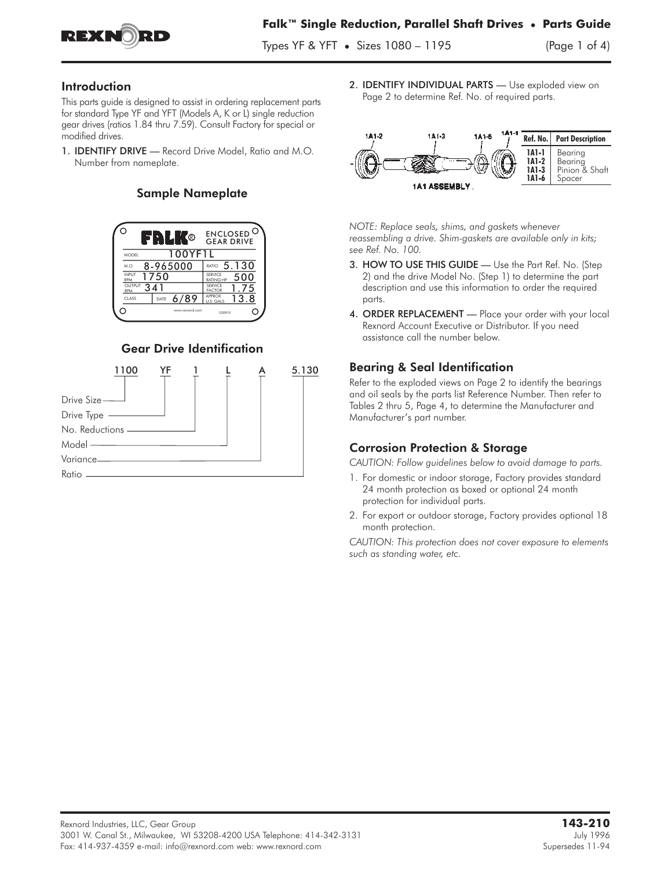

Types YF & YFT • Sizes 1080 – 1195 (Page 1 of 4)

#### Introduction

This parts guide is designed to assist in ordering replacement parts for standard Type YF and YFT (Models A, K or L) single reduction gear drives (ratios 1.84 thru 7.59). Consult Factory for special or modified drives.

1. IDENTIFY DRIVE — Record Drive Model, Ratio and M.O. Number from nameplate.

# Sample Nameplate



# Gear Drive Identification



2. IDENTIFY INDIVIDUAL PARTS - Use exploded view on Page 2 to determine Ref. No. of required parts.



*NOTE: Replace seals, shims, and gaskets whenever reassembling a drive. Shim-gaskets are available only in kits; see Ref. No. 100.*

- 3. HOW TO USE THIS GUIDE Use the Part Ref. No. (Step 2) and the drive Model No. (Step 1) to determine the part description and use this information to order the required parts.
- 4. ORDER REPLACEMENT Place your order with your local Rexnord Account Executive or Distributor. If you need assistance call the number below.

# Bearing & Seal Identification

Refer to the exploded views on Page 2 to identify the bearings and oil seals by the parts list Reference Number. Then refer to Tables 2 thru 5, Page 4, to determine the Manufacturer and Manufacturer's part number.

# Corrosion Protection & Storage

*CAUTION: Follow guidelines below to avoid damage to parts.*

- 1. For domestic or indoor storage, Factory provides standard 24 month protection as boxed or optional 24 month protection for individual parts.
- 2. For export or outdoor storage, Factory provides optional 18 month protection.

*CAUTION: This protection does not cover exposure to elements such as standing water, etc.*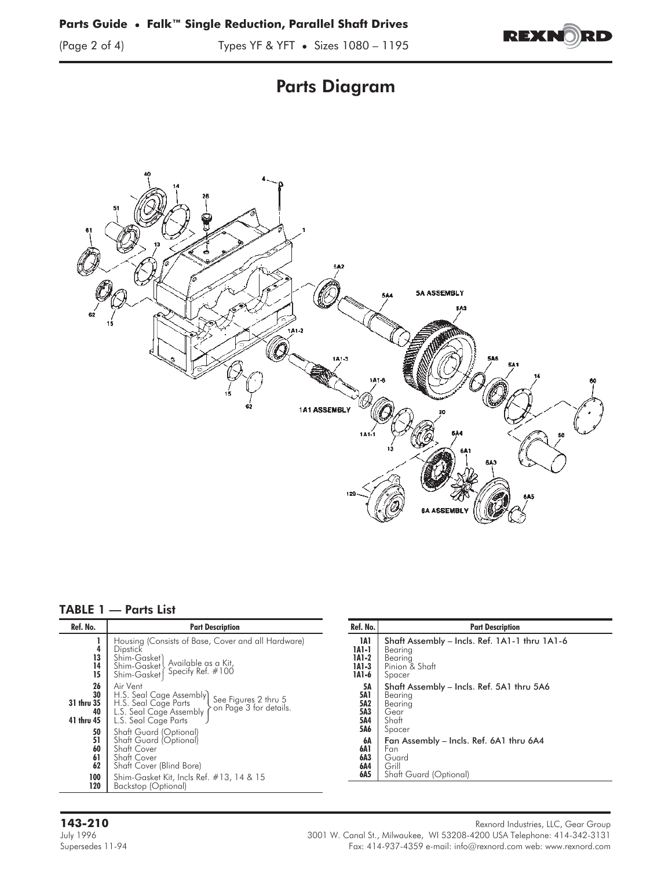





|  |  |  |  |  |  |  | <b>TABLE 1 — Parts List</b> |
|--|--|--|--|--|--|--|-----------------------------|
|--|--|--|--|--|--|--|-----------------------------|

| Ref. No.                                   | <b>Part Description</b>                                                                                                                                           |  |  |  |  |
|--------------------------------------------|-------------------------------------------------------------------------------------------------------------------------------------------------------------------|--|--|--|--|
| 4<br>13<br>14<br>15                        | Housing (Consists of Base, Cover and all Hardware)<br>Dipstick<br>Shim-Gasket)<br>Available as a Kit,<br>Shim-Gasket<br>Specify Ref. #100<br>Shim-Gasket          |  |  |  |  |
| 26<br>30<br>31 thru 35<br>40<br>41 thru 45 | Air Vent<br>H.S. Seal Cage Assembly)<br>See Figures 2 thru 5<br>on Page 3 for details.<br>H.S. Seal Cage Parts<br>L.S. Seal Cage Assembly<br>L.S. Seal Cage Parts |  |  |  |  |
| 50<br>51<br>60<br>61<br>62                 | Shaft Guard (Optional)<br>Shaft Guard (Optional)<br>Shaft Cover<br><b>Shaft Cover</b><br>Shaft Cover (Blind Bore)                                                 |  |  |  |  |
| 100<br>120                                 | Shim-Gasket Kit, Incls Ref. #13, 14 & 15<br>Backstop (Optional)                                                                                                   |  |  |  |  |

| Ref. No.        | <b>Part Description</b>                       |
|-----------------|-----------------------------------------------|
| 1A1             | Shaft Assembly - Incls. Ref. 1A1-1 thru 1A1-6 |
| 1A1-1           | Bearing                                       |
| 1A1-2           | Bearing                                       |
| 1A1-3           | Pinion & Shaft                                |
| 1A1-6           | Spacer                                        |
| 5Α              | Shaft Assembly - Incls. Ref. 5A1 thru 5A6     |
| <b>5A1</b>      | Bearina                                       |
| 5A <sub>2</sub> | Bearing                                       |
| 5A3             | Gear                                          |
| 5A4             | Shaft                                         |
| 5A6             | Spacer                                        |
| 6А              | Fan Assembly – Incls. Ref. 6A1 thru 6A4       |
| 6A 1            | Fan                                           |
| 6A3             | Guard                                         |
| 6A4             | Grill                                         |
| 6A5             | Shaft Guard (Optional)                        |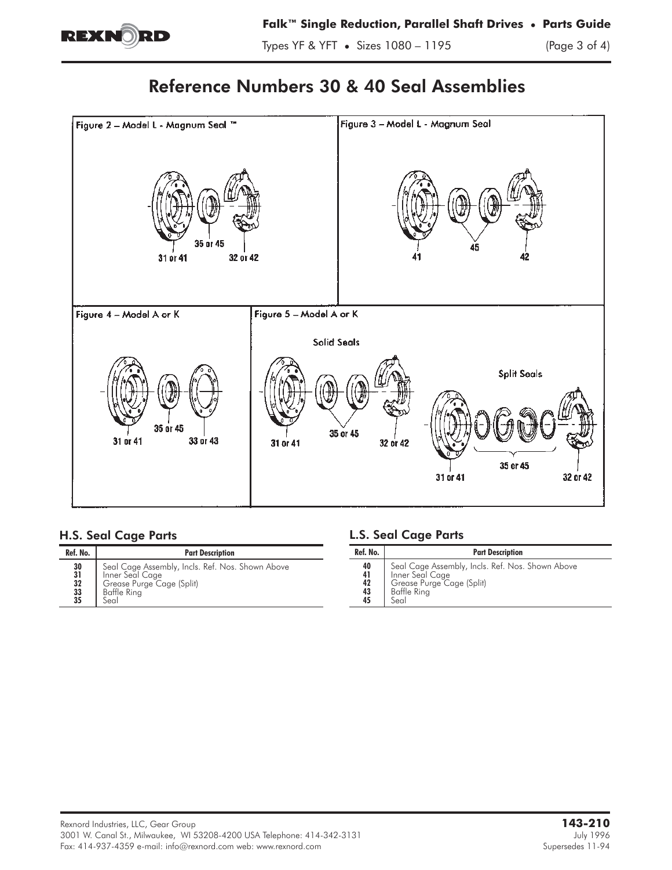

# Reference Numbers 30 & 40 Seal Assemblies



# H.S. Seal Cage Parts

| Ref. No.                          | <b>Part Description</b>                                                                                                 |  |  |  |  |
|-----------------------------------|-------------------------------------------------------------------------------------------------------------------------|--|--|--|--|
| 30<br>31<br>32<br>$\frac{33}{35}$ | Seal Cage Assembly, Incls. Ref. Nos. Shown Above<br>Inner Seal Cage<br>Grease Purge Cage (Split)<br>Baffle Ring<br>Seal |  |  |  |  |

# L.S. Seal Cage Parts

| Ref. No.                   | <b>Part Description</b>                                                                                                 |
|----------------------------|-------------------------------------------------------------------------------------------------------------------------|
| 40<br>41<br>42<br>43<br>45 | Seal Cage Assembly, Incls. Ref. Nos. Shown Above<br>Inner Seal Cage<br>Grease Purge Cage (Split)<br>Baffle Ring<br>Seal |